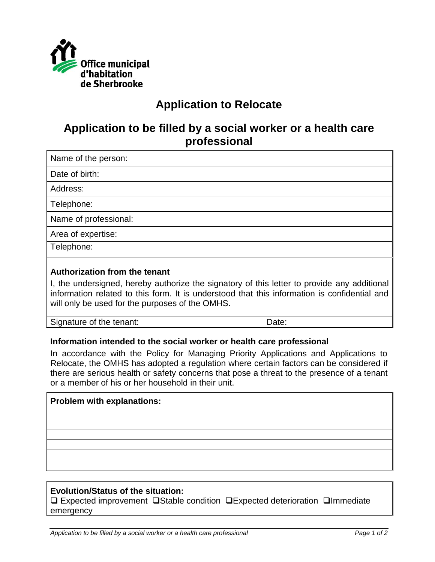

# **Application to Relocate**

## **Application to be filled by a social worker or a health care professional**

| Name of the person:   |  |
|-----------------------|--|
| Date of birth:        |  |
| Address:              |  |
| Telephone:            |  |
| Name of professional: |  |
| Area of expertise:    |  |
| Telephone:            |  |
|                       |  |

#### **Authorization from the tenant**

I, the undersigned, hereby authorize the signatory of this letter to provide any additional information related to this form. It is understood that this information is confidential and will only be used for the purposes of the OMHS.

Signature of the tenant: Date:

### **Information intended to the social worker or health care professional**

In accordance with the Policy for Managing Priority Applications and Applications to Relocate, the OMHS has adopted a regulation where certain factors can be considered if there are serious health or safety concerns that pose a threat to the presence of a tenant or a member of his or her household in their unit.

### **Problem with explanations:**

### **Evolution/Status of the situation:**

❑ Expected improvement ❑Stable condition ❑Expected deterioration ❑Immediate emergency